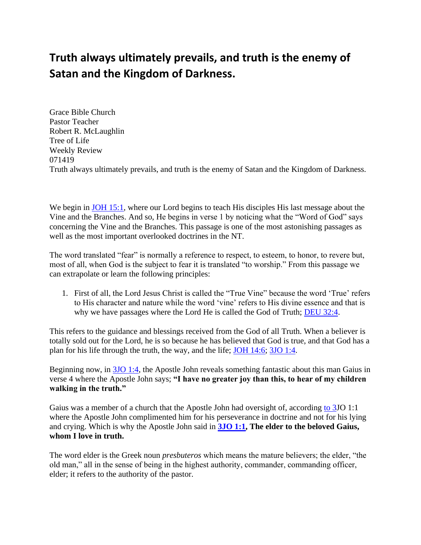## **Truth always ultimately prevails, and truth is the enemy of Satan and the Kingdom of Darkness.**

Grace Bible Church Pastor Teacher Robert R. McLaughlin Tree of Life Weekly Review 071419 Truth always ultimately prevails, and truth is the enemy of Satan and the Kingdom of Darkness.

We begin in [JOH 15:1,](https://www.bibleserver.com/text/NIV/John15%3A1) where our Lord begins to teach His disciples His last message about the Vine and the Branches. And so, He begins in verse 1 by noticing what the "Word of God" says concerning the Vine and the Branches. This passage is one of the most astonishing passages as well as the most important overlooked doctrines in the NT.

The word translated "fear" is normally a reference to respect, to esteem, to honor, to revere but, most of all, when God is the subject to fear it is translated "to worship." From this passage we can extrapolate or learn the following principles:

1. First of all, the Lord Jesus Christ is called the "True Vine" because the word 'True' refers to His character and nature while the word 'vine' refers to His divine essence and that is why we have passages where the Lord He is called the God of Truth; [DEU 32:4.](https://www.bibleserver.com/text/NIV/Deuteronomy32%3A4)

This refers to the guidance and blessings received from the God of all Truth. When a believer is totally sold out for the Lord, he is so because he has believed that God is true, and that God has a plan for his life through the truth, the way, and the life; [JOH 14:6;](https://www.bibleserver.com/text/NIV/John14%3A6) [3JO 1:4.](https://www.bibleserver.com/text/NIV/3John1-4)

Beginning now, in [3JO 1:4,](https://www.bibleserver.com/text/NIV/3John1-4) the Apostle John reveals something fantastic about this man Gaius in verse 4 where the Apostle John says; **"I have no greater joy than this, to hear of my children walking in the truth."**

Gaius was a member of a church that the Apostle John had oversight of, according [to 3J](https://www.bibleserver.com/text/NIV/Tobit3)O 1:1 where the Apostle John complimented him for his perseverance in doctrine and not for his lying and crying. Which is why the Apostle John said in **[3JO 1:1,](https://www.bibleserver.com/text/NIV/3John1) The elder to the beloved Gaius, whom I love in truth.**

The word elder is the Greek noun *presbuteros* which means the mature believers; the elder, "the old man," all in the sense of being in the highest authority, commander, commanding officer, elder; it refers to the authority of the pastor.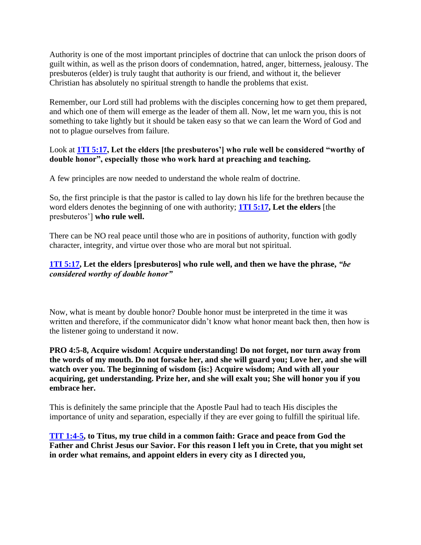Authority is one of the most important principles of doctrine that can unlock the prison doors of guilt within, as well as the prison doors of condemnation, hatred, anger, bitterness, jealousy. The presbuteros (elder) is truly taught that authority is our friend, and without it, the believer Christian has absolutely no spiritual strength to handle the problems that exist.

Remember, our Lord still had problems with the disciples concerning how to get them prepared, and which one of them will emerge as the leader of them all. Now, let me warn you, this is not something to take lightly but it should be taken easy so that we can learn the Word of God and not to plague ourselves from failure.

## Look at **[1TI 5:17,](https://www.bibleserver.com/text/NIV/1Timothy5%3A17) Let the elders [the presbuteros'] who rule well be considered "worthy of double honor", especially those who work hard at preaching and teaching.**

A few principles are now needed to understand the whole realm of doctrine.

So, the first principle is that the pastor is called to lay down his life for the brethren because the word elders denotes the beginning of one with authority; **[1TI 5:17,](https://www.bibleserver.com/text/NIV/1Timothy5%3A17) Let the elders** [the presbuteros'] **who rule well.**

There can be NO real peace until those who are in positions of authority, function with godly character, integrity, and virtue over those who are moral but not spiritual.

## **[1TI 5:17,](https://www.bibleserver.com/text/NIV/1Timothy5%3A17) Let the elders [presbuteros] who rule well, and then we have the phrase,** *"be considered worthy of double honor"*

Now, what is meant by double honor? Double honor must be interpreted in the time it was written and therefore, if the communicator didn't know what honor meant back then, then how is the listener going to understand it now.

**PRO 4:5-8, Acquire wisdom! Acquire understanding! Do not forget, nor turn away from the words of my mouth. Do not forsake her, and she will guard you; Love her, and she will watch over you. The beginning of wisdom {is:} Acquire wisdom; And with all your acquiring, get understanding. Prize her, and she will exalt you; She will honor you if you embrace her.**

This is definitely the same principle that the Apostle Paul had to teach His disciples the importance of unity and separation, especially if they are ever going to fulfill the spiritual life.

**[TIT 1:4-5,](https://www.bibleserver.com/text/NIV/Titus1%3A4-5) to Titus, my true child in a common faith: Grace and peace from God the Father and Christ Jesus our Savior. For this reason I left you in Crete, that you might set in order what remains, and appoint elders in every city as I directed you,**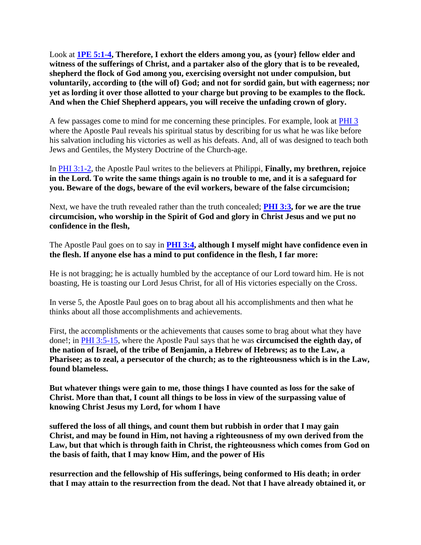Look at **[1PE 5:1-4,](https://www.bibleserver.com/text/NIV/1Peter5%3A1-4) Therefore, I exhort the elders among you, as {your} fellow elder and witness of the sufferings of Christ, and a partaker also of the glory that is to be revealed, shepherd the flock of God among you, exercising oversight not under compulsion, but voluntarily, according to {the will of} God; and not for sordid gain, but with eagerness; nor yet as lording it over those allotted to your charge but proving to be examples to the flock. And when the Chief Shepherd appears, you will receive the unfading crown of glory.**

A few passages come to mind for me concerning these principles. For example, look at [PHI 3](https://www.bibleserver.com/text/NIV/Philippians3) where the Apostle Paul reveals his spiritual status by describing for us what he was like before his salvation including his victories as well as his defeats. And, all of was designed to teach both Jews and Gentiles, the Mystery Doctrine of the Church-age.

In [PHI 3:1-2,](https://www.bibleserver.com/text/NIV/Philippians3%3A1-2) the Apostle Paul writes to the believers at Philippi, **Finally, my brethren, rejoice in the Lord. To write the same things again is no trouble to me, and it is a safeguard for you. Beware of the dogs, beware of the evil workers, beware of the false circumcision;**

Next, we have the truth revealed rather than the truth concealed; **[PHI 3:3,](https://www.bibleserver.com/text/NIV/Philippians3%3A3) for we are the true circumcision, who worship in the Spirit of God and glory in Christ Jesus and we put no confidence in the flesh,**

The Apostle Paul goes on to say in **[PHI 3:4,](https://www.bibleserver.com/text/NIV/Philippians3%3A4) although I myself might have confidence even in the flesh. If anyone else has a mind to put confidence in the flesh, I far more:**

He is not bragging; he is actually humbled by the acceptance of our Lord toward him. He is not boasting, He is toasting our Lord Jesus Christ, for all of His victories especially on the Cross.

In verse 5, the Apostle Paul goes on to brag about all his accomplishments and then what he thinks about all those accomplishments and achievements.

First, the accomplishments or the achievements that causes some to brag about what they have done!; in [PHI 3:5-15,](https://www.bibleserver.com/text/NIV/Philippians3%3A5-15) where the Apostle Paul says that he was **circumcised the eighth day, of the nation of Israel, of the tribe of Benjamin, a Hebrew of Hebrews; as to the Law, a Pharisee; as to zeal, a persecutor of the church; as to the righteousness which is in the Law, found blameless.**

**But whatever things were gain to me, those things I have counted as loss for the sake of Christ. More than that, I count all things to be loss in view of the surpassing value of knowing Christ Jesus my Lord, for whom I have** 

**suffered the loss of all things, and count them but rubbish in order that I may gain Christ, and may be found in Him, not having a righteousness of my own derived from the Law, but that which is through faith in Christ, the righteousness which comes from God on the basis of faith, that I may know Him, and the power of His** 

**resurrection and the fellowship of His sufferings, being conformed to His death; in order that I may attain to the resurrection from the dead. Not that I have already obtained it, or**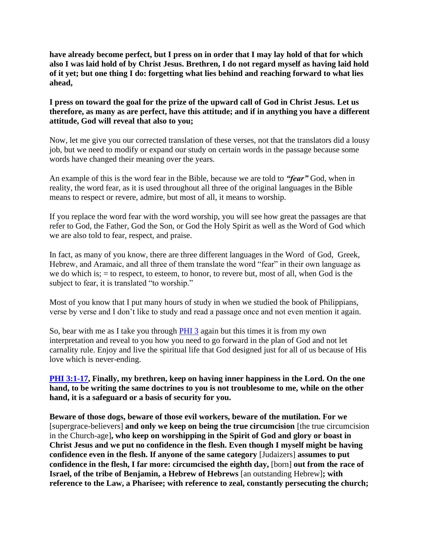**have already become perfect, but I press on in order that I may lay hold of that for which also I was laid hold of by Christ Jesus. Brethren, I do not regard myself as having laid hold of it yet; but one thing I do: forgetting what lies behind and reaching forward to what lies ahead,**

## **I press on toward the goal for the prize of the upward call of God in Christ Jesus. Let us therefore, as many as are perfect, have this attitude; and if in anything you have a different attitude, God will reveal that also to you;**

Now, let me give you our corrected translation of these verses, not that the translators did a lousy job, but we need to modify or expand our study on certain words in the passage because some words have changed their meaning over the years.

An example of this is the word fear in the Bible, because we are told to *"fear"* God, when in reality, the word fear, as it is used throughout all three of the original languages in the Bible means to respect or revere, admire, but most of all, it means to worship.

If you replace the word fear with the word worship, you will see how great the passages are that refer to God, the Father, God the Son, or God the Holy Spirit as well as the Word of God which we are also told to fear, respect, and praise.

In fact, as many of you know, there are three different languages in the Word of God, Greek, Hebrew, and Aramaic, and all three of them translate the word "fear" in their own language as we do which is;  $=$  to respect, to esteem, to honor, to revere but, most of all, when God is the subject to fear, it is translated "to worship."

Most of you know that I put many hours of study in when we studied the book of Philippians, verse by verse and I don't like to study and read a passage once and not even mention it again.

So, bear with me as I take you through [PHI 3](https://www.bibleserver.com/text/NIV/Philippians3) again but this times it is from my own interpretation and reveal to you how you need to go forward in the plan of God and not let carnality rule. Enjoy and live the spiritual life that God designed just for all of us because of His love which is never-ending.

**[PHI 3:1-17,](https://www.bibleserver.com/text/NIV/Philippians3%3A1-17) Finally, my brethren, keep on having inner happiness in the Lord. On the one hand, to be writing the same doctrines to you is not troublesome to me, while on the other hand, it is a safeguard or a basis of security for you.**

**Beware of those dogs, beware of those evil workers, beware of the mutilation. For we**  [supergrace-believers] **and only we keep on being the true circumcision** [the true circumcision in the Church-age]**, who keep on worshipping in the Spirit of God and glory or boast in Christ Jesus and we put no confidence in the flesh. Even though I myself might be having confidence even in the flesh. If anyone of the same category** [Judaizers] **assumes to put confidence in the flesh, I far more: circumcised the eighth day,** [born] **out from the race of Israel, of the tribe of Benjamin, a Hebrew of Hebrews** [an outstanding Hebrew]**; with reference to the Law, a Pharisee; with reference to zeal, constantly persecuting the church;**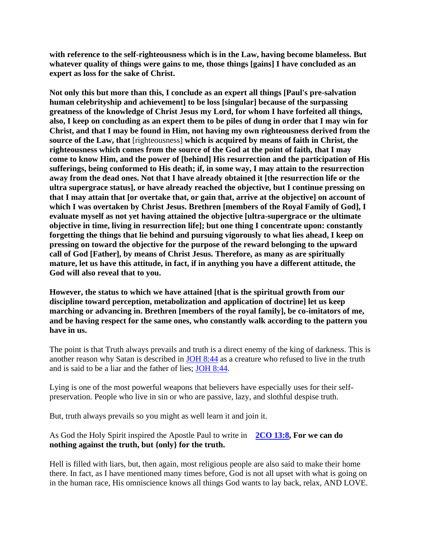**with reference to the self-righteousness which is in the Law, having become blameless. But whatever quality of things were gains to me, those things [gains] I have concluded as an expert as loss for the sake of Christ.**

**Not only this but more than this, I conclude as an expert all things [Paul's pre-salvation human celebrityship and achievement] to be loss [singular] because of the surpassing greatness of the knowledge of Christ Jesus my Lord, for whom I have forfeited all things, also, I keep on concluding as an expert them to be piles of dung in order that I may win for Christ, and that I may be found in Him, not having my own righteousness derived from the source of the Law, that** [righteousness] **which is acquired by means of faith in Christ, the righteousness which comes from the source of the God at the point of faith, that I may come to know Him, and the power of [behind] His resurrection and the participation of His sufferings, being conformed to His death; if, in some way, I may attain to the resurrection away from the dead ones. Not that I have already obtained it [the resurrection life or the ultra supergrace status], or have already reached the objective, but I continue pressing on that I may attain that [or overtake that, or gain that, arrive at the objective] on account of which I was overtaken by Christ Jesus. Brethren [members of the Royal Family of God], I evaluate myself as not yet having attained the objective [ultra-supergrace or the ultimate objective in time, living in resurrection life]; but one thing I concentrate upon: constantly forgetting the things that lie behind and pursuing vigorously to what lies ahead, I keep on pressing on toward the objective for the purpose of the reward belonging to the upward call of God [Father], by means of Christ Jesus. Therefore, as many as are spiritually mature, let us have this attitude, in fact, if in anything you have a different attitude, the God will also reveal that to you.**

**However, the status to which we have attained [that is the spiritual growth from our discipline toward perception, metabolization and application of doctrine] let us keep marching or advancing in. Brethren [members of the royal family], be co-imitators of me, and be having respect for the same ones, who constantly walk according to the pattern you have in us.**

The point is that Truth always prevails and truth is a direct enemy of the king of darkness. This is another reason why Satan is described in [JOH 8:44](https://www.bibleserver.com/text/NIV/John8%3A44) as a creature who refused to live in the truth and is said to be a liar and the father of lies; [JOH 8:44.](https://www.bibleserver.com/text/NIV/John8%3A44)

Lying is one of the most powerful weapons that believers have especially uses for their selfpreservation. People who live in sin or who are passive, lazy, and slothful despise truth.

But, truth always prevails so you might as well learn it and join it.

As God the Holy Spirit inspired the Apostle Paul to write in **[2CO 13:8,](https://www.bibleserver.com/text/NIV/2Corinthians13%3A8) For we can do nothing against the truth, but {only} for the truth.**

Hell is filled with liars, but, then again, most religious people are also said to make their home there. In fact, as I have mentioned many times before, God is not all upset with what is going on in the human race, His omniscience knows all things God wants to lay back, relax, AND LOVE.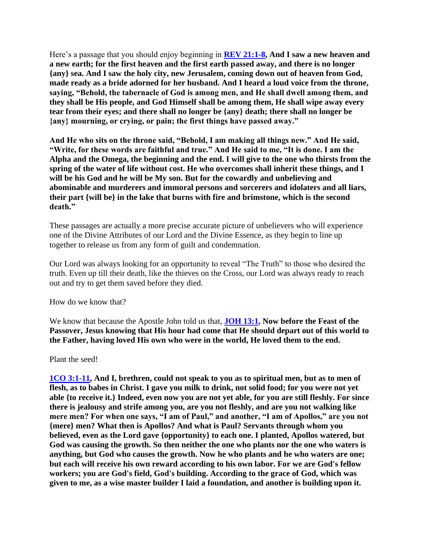Here's a passage that you should enjoy beginning in **[REV 21:1-8,](https://www.bibleserver.com/text/NIV/Revelation21%3A1-8) And I saw a new heaven and a new earth; for the first heaven and the first earth passed away, and there is no longer {any} sea. And I saw the holy city, new Jerusalem, coming down out of heaven from God, made ready as a bride adorned for her husband. And I heard a loud voice from the throne, saying, "Behold, the tabernacle of God is among men, and He shall dwell among them, and they shall be His people, and God Himself shall be among them, He shall wipe away every tear from their eyes; and there shall no longer be {any} death; there shall no longer be {any} mourning, or crying, or pain; the first things have passed away."**

**And He who sits on the throne said, "Behold, I am making all things new." And He said, "Write, for these words are faithful and true." And He said to me, "It is done. I am the Alpha and the Omega, the beginning and the end. I will give to the one who thirsts from the spring of the water of life without cost. He who overcomes shall inherit these things, and I will be his God and he will be My son. But for the cowardly and unbelieving and abominable and murderers and immoral persons and sorcerers and idolaters and all liars, their part {will be} in the lake that burns with fire and brimstone, which is the second death."**

These passages are actually a more precise accurate picture of unbelievers who will experience one of the Divine Attributes of our Lord and the Divine Essence, as they begin to line up together to release us from any form of guilt and condemnation.

Our Lord was always looking for an opportunity to reveal "The Truth" to those who desired the truth. Even up till their death, like the thieves on the Cross, our Lord was always ready to reach out and try to get them saved before they died.

How do we know that?

We know that because the Apostle John told us that, **[JOH 13:1,](https://www.bibleserver.com/text/NIV/John13%3A1) Now before the Feast of the Passover, Jesus knowing that His hour had come that He should depart out of this world to the Father, having loved His own who were in the world, He loved them to the end.**

Plant the seed!

**[1CO 3:1-11,](https://www.bibleserver.com/text/NIV/1Corinthians3%3A1-11) And I, brethren, could not speak to you as to spiritual men, but as to men of flesh, as to babes in Christ. I gave you milk to drink, not solid food; for you were not yet able {to receive it.} Indeed, even now you are not yet able, for you are still fleshly. For since there is jealousy and strife among you, are you not fleshly, and are you not walking like mere men? For when one says, "I am of Paul," and another, "I am of Apollos," are you not {mere} men? What then is Apollos? And what is Paul? Servants through whom you believed, even as the Lord gave {opportunity} to each one. I planted, Apollos watered, but God was causing the growth. So then neither the one who plants nor the one who waters is anything, but God who causes the growth. Now he who plants and he who waters are one; but each will receive his own reward according to his own labor. For we are God's fellow workers; you are God's field, God's building. According to the grace of God, which was given to me, as a wise master builder I laid a foundation, and another is building upon it.**